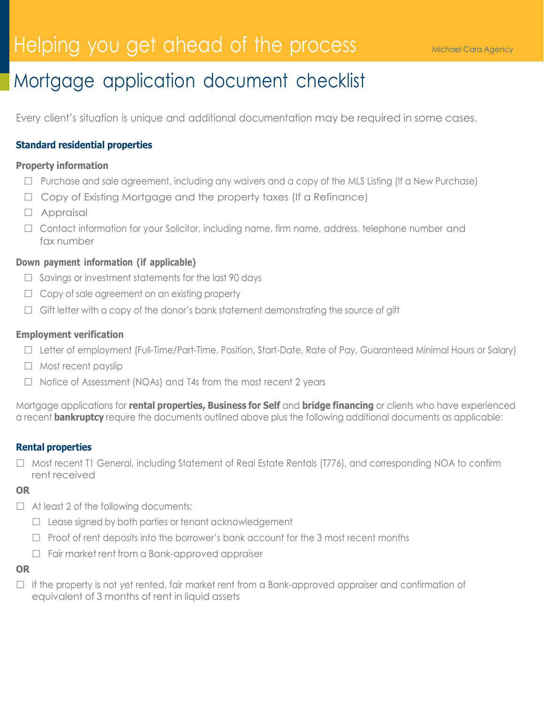# Helping you get ahead of the process **Michael Cara Agency**

# Mortgage application document checklist

Every client's situation is unique and additional documentation may be required in some cases.

# **Standard residential properties**

#### **Property information**

- $\Box$  Purchase and sale agreement, including any waivers and a copy of the MLS Listing (If a New Purchase)
- $\Box$  Copy of Existing Mortgage and the property taxes (If a Refinance)
- Appraisal
- □ Contact information for your Solicitor, including name, firm name, address, telephone number and fax number

## **Down payment information (if applicable)**

- $\Box$  Savings or investment statements for the last 90 days
- $\Box$  Copy of sale agreement on an existing property
- $\Box$  Gift letter with a copy of the donor's bank statement demonstrating the source of gift

#### **Employment verification**

- □ Letter of employment (Full-Time/Part-Time, Position, Start-Date, Rate of Pay, Guaranteed Minimal Hours or Salary)
- $\Box$  Most recent payslip
- $\Box$  Notice of Assessment (NOAs) and T4s from the most recent 2 years

Mortgage applications for **rental properties, Business for Self** and **bridge financing** or clients who have experienced a recent **bankruptcy** require the documents outlined above plus the following additional documents as applicable:

#### **Rental properties**

□ Most recent T1 General, including Statement of Real Estate Rentals (T776), and corresponding NOA to confirm rent received

#### **OR**

- $\Box$  At least 2 of the following documents:
	- $\Box$  Lease signed by both parties or tenant acknowledgement
	- $\Box$  Proof of rent deposits into the borrower's bank account for the 3 most recent months
	- $\Box$  Fair market rent from a Bank-approved appraiser

#### **OR**

 $\Box$  If the property is not yet rented, fair market rent from a Bank-approved appraiser and confirmation of equivalent of 3 months of rent in liquid assets